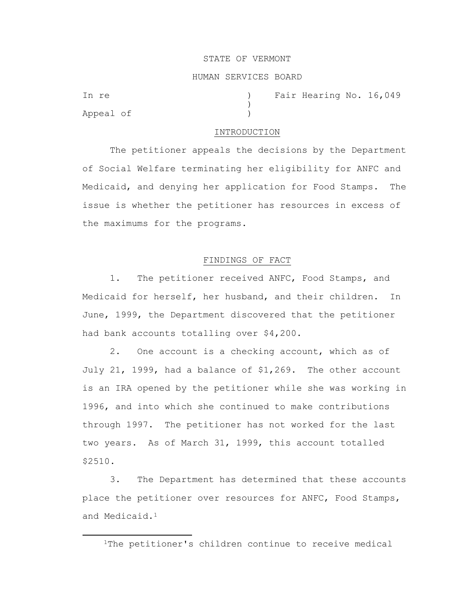### STATE OF VERMONT

## HUMAN SERVICES BOARD

Appeal of )

In re (a) Tair Hearing No. 16,049

### INTRODUCTION

)

The petitioner appeals the decisions by the Department of Social Welfare terminating her eligibility for ANFC and Medicaid, and denying her application for Food Stamps. The issue is whether the petitioner has resources in excess of the maximums for the programs.

# FINDINGS OF FACT

1. The petitioner received ANFC, Food Stamps, and Medicaid for herself, her husband, and their children. In June, 1999, the Department discovered that the petitioner had bank accounts totalling over \$4,200.

2. One account is a checking account, which as of July 21, 1999, had a balance of \$1,269. The other account is an IRA opened by the petitioner while she was working in 1996, and into which she continued to make contributions through 1997. The petitioner has not worked for the last two years. As of March 31, 1999, this account totalled \$2510.

3. The Department has determined that these accounts place the petitioner over resources for ANFC, Food Stamps, and Medicaid.<sup>1</sup>

1The petitioner's children continue to receive medical